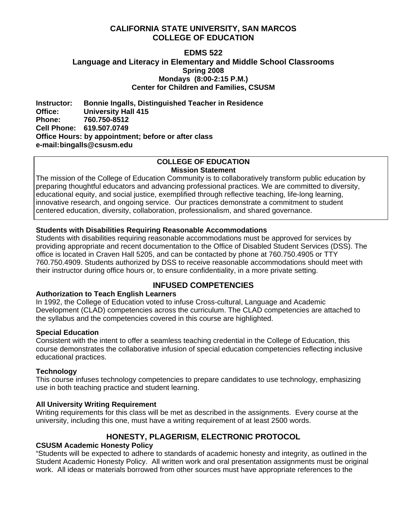## **CALIFORNIA STATE UNIVERSITY, SAN MARCOS COLLEGE OF EDUCATION**

## **EDMS 522 Language and Literacy in Elementary and Middle School Classrooms Spring 2008 Mondays (8:00-2:15 P.M.) Center for Children and Families, CSUSM**

**Instructor: Bonnie Ingalls, Distinguished Teacher in Residence Office: University Hall 415 Phone: 760.750-8512 Cell Phone: 619.507.0749 Office Hours: by appointment; before or after class e-mail: bingalls@csusm.edu** 

#### **COLLEGE OF EDUCATION Mission Statement**

The mission of the College of Education Community is to collaboratively transform public education by preparing thoughtful educators and advancing professional practices. We are committed to diversity, educational equity, and social justice, exemplified through reflective teaching, life-long learning, innovative research, and ongoing service. Our practices demonstrate a commitment to student centered education, diversity, collaboration, professionalism, and shared governance.

# **Students with Disabilities Requiring Reasonable Accommodations**

Students with disabilities requiring reasonable accommodations must be approved for services by providing appropriate and recent documentation to the Office of Disabled Student Services (DSS). The office is located in Craven Hall 5205, and can be contacted by phone at 760.750.4905 or TTY 760.750.4909. Students authorized by DSS to receive reasonable accommodations should meet with their instructor during office hours or, to ensure confidentiality, in a more private setting.

# **INFUSED COMPETENCIES**

# **Authorization to Teach English Learners**

In 1992, the College of Education voted to infuse Cross-cultural, Language and Academic Development (CLAD) competencies across the curriculum. The CLAD competencies are attached to the syllabus and the competencies covered in this course are highlighted.

# **Special Education**

Consistent with the intent to offer a seamless teaching credential in the College of Education, this course demonstrates the collaborative infusion of special education competencies reflecting inclusive educational practices.

# **Technology**

This course infuses technology competencies to prepare candidates to use technology, emphasizing use in both teaching practice and student learning.

# **All University Writing Requirement**

Writing requirements for this class will be met as described in the assignments. Every course at the university, including this one, must have a writing requirement of at least 2500 words.

# **HONESTY, PLAGERISM, ELECTRONIC PROTOCOL**

# **CSUSM Academic Honesty Policy**

"Students will be expected to adhere to standards of academic honesty and integrity, as outlined in the Student Academic Honesty Policy. All written work and oral presentation assignments must be original work. All ideas or materials borrowed from other sources must have appropriate references to the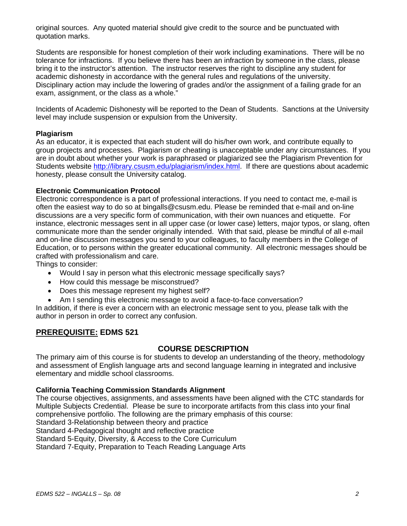original sources. Any quoted material should give credit to the source and be punctuated with quotation marks.

Students are responsible for honest completion of their work including examinations. There will be no tolerance for infractions. If you believe there has been an infraction by someone in the class, please bring it to the instructor's attention. The instructor reserves the right to discipline any student for academic dishonesty in accordance with the general rules and regulations of the university. Disciplinary action may include the lowering of grades and/or the assignment of a failing grade for an exam, assignment, or the class as a whole."

Incidents of Academic Dishonesty will be reported to the Dean of Students. Sanctions at the University level may include suspension or expulsion from the University.

### **Plagiarism**

As an educator, it is expected that each student will do his/her own work, and contribute equally to group projects and processes. Plagiarism or cheating is unacceptable under any circumstances. If you are in doubt about whether your work is paraphrased or plagiarized see the Plagiarism Prevention for Students website http://library.csusm.edu/plagiarism/index.html. If there are questions about academic honesty, please consult the University catalog.

#### **Electronic Communication Protocol**

Electronic correspondence is a part of professional interactions. If you need to contact me, e-mail is often the easiest way to do so at bingalls@csusm.edu. Please be reminded that e-mail and on-line discussions are a very specific form of communication, with their own nuances and etiquette. For instance, electronic messages sent in all upper case (or lower case) letters, major typos, or slang, often communicate more than the sender originally intended. With that said, please be mindful of all e-mail and on-line discussion messages you send to your colleagues, to faculty members in the College of Education, or to persons within the greater educational community. All electronic messages should be crafted with professionalism and care.

Things to consider:

- Would I say in person what this electronic message specifically says?
- How could this message be misconstrued?
- Does this message represent my highest self?
- Am I sending this electronic message to avoid a face-to-face conversation?

In addition, if there is ever a concern with an electronic message sent to you, please talk with the author in person in order to correct any confusion.

# **PREREQUISITE: EDMS 521**

## **COURSE DESCRIPTION**

The primary aim of this course is for students to develop an understanding of the theory, methodology and assessment of English language arts and second language learning in integrated and inclusive elementary and middle school classrooms.

#### **California Teaching Commission Standards Alignment**

The course objectives, assignments, and assessments have been aligned with the CTC standards for Multiple Subjects Credential. Please be sure to incorporate artifacts from this class into your final comprehensive portfolio. The following are the primary emphasis of this course: Standard 3-Relationship between theory and practice Standard 4-Pedagogical thought and reflective practice Standard 5-Equity, Diversity, & Access to the Core Curriculum Standard 7-Equity, Preparation to Teach Reading Language Arts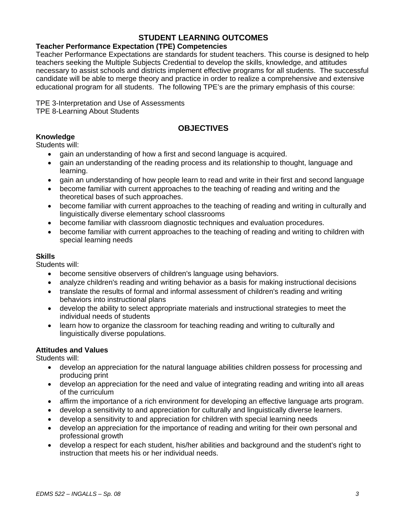## **STUDENT LEARNING OUTCOMES**

## **Teacher Performance Expectation (TPE) Competencies**

Teacher Performance Expectations are standards for student teachers. This course is designed to help teachers seeking the Multiple Subjects Credential to develop the skills, knowledge, and attitudes necessary to assist schools and districts implement effective programs for all students. The successful candidate will be able to merge theory and practice in order to realize a comprehensive and extensive educational program for all students. The following TPE's are the primary emphasis of this course:

TPE 3-Interpretation and Use of Assessments TPE 8-Learning About Students

# **OBJECTIVES**

## **Knowledge**

Students will:

- gain an understanding of how a first and second language is acquired.
- gain an understanding of the reading process and its relationship to thought, language and learning.
- gain an understanding of how people learn to read and write in their first and second language
- become familiar with current approaches to the teaching of reading and writing and the theoretical bases of such approaches.
- become familiar with current approaches to the teaching of reading and writing in culturally and linguistically diverse elementary school classrooms
- become familiar with classroom diagnostic techniques and evaluation procedures.
- become familiar with current approaches to the teaching of reading and writing to children with special learning needs

#### **Skills**

Students will:

- become sensitive observers of children's language using behaviors.
- analyze children's reading and writing behavior as a basis for making instructional decisions
- translate the results of formal and informal assessment of children's reading and writing behaviors into instructional plans
- develop the ability to select appropriate materials and instructional strategies to meet the individual needs of students
- learn how to organize the classroom for teaching reading and writing to culturally and linguistically diverse populations.

#### **Attitudes and Values**

Students will:

- develop an appreciation for the natural language abilities children possess for processing and producing print
- develop an appreciation for the need and value of integrating reading and writing into all areas of the curriculum
- affirm the importance of a rich environment for developing an effective language arts program.
- develop a sensitivity to and appreciation for culturally and linguistically diverse learners.
- develop a sensitivity to and appreciation for children with special learning needs
- develop an appreciation for the importance of reading and writing for their own personal and professional growth
- develop a respect for each student, his/her abilities and background and the student's right to instruction that meets his or her individual needs.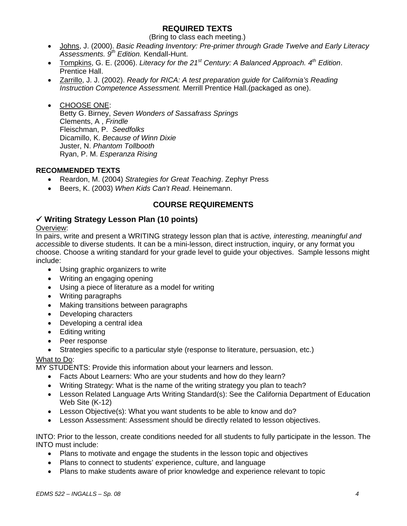# **REQUIRED TEXTS**

(Bring to class each meeting.)

- Johns, J. (2000). *Basic Reading Inventory: Pre-primer through Grade Twelve and Early Literacy Assessments. 9th Edition.* Kendall-Hunt.
- Tompkins, G. E. (2006). *Literacy for the 21st Century: A Balanced Approach. 4th Edition*. Prentice Hall.
- Zarrillo, J. J. (2002). *Ready for RICA: A test preparation guide for California's Reading Instruction Competence Assessment.* Merrill Prentice Hall.(packaged as one).

• CHOOSE ONE: Betty G. Birney, *Seven Wonders of Sassafrass Springs*  Clements, A , *Frindle*  Fleischman, P. *Seedfolks* Dicamillo, K. *Because of Winn Dixie* Juster, N. *Phantom Tollbooth* Ryan, P. M. *Esperanza Rising*

## **RECOMMENDED TEXTS**

- Reardon, M. (2004) *Strategies for Great Teaching*. Zephyr Press
- Beers, K. (2003) *When Kids Can't Read*. Heinemann.

# **COURSE REQUIREMENTS**

## 9 **Writing Strategy Lesson Plan (10 points)**

#### Overview:

In pairs, write and present a WRITING strategy lesson plan that is *active, interesting, meaningful and accessible* to diverse students. It can be a mini-lesson, direct instruction, inquiry, or any format you choose. Choose a writing standard for your grade level to guide your objectives. Sample lessons might include:

- Using graphic organizers to write
- Writing an engaging opening
- Using a piece of literature as a model for writing
- Writing paragraphs
- Making transitions between paragraphs
- Developing characters
- Developing a central idea
- Editing writing
- Peer response
- Strategies specific to a particular style (response to literature, persuasion, etc.)

#### What to Do:

MY STUDENTS: Provide this information about your learners and lesson.

- Facts About Learners: Who are your students and how do they learn?
- Writing Strategy: What is the name of the writing strategy you plan to teach?
- Lesson Related Language Arts Writing Standard(s): See the California Department of Education Web Site (K-12)
- Lesson Objective(s): What you want students to be able to know and do?
- Lesson Assessment: Assessment should be directly related to lesson objectives.

INTO: Prior to the lesson, create conditions needed for all students to fully participate in the lesson. The INTO must include:

- Plans to motivate and engage the students in the lesson topic and objectives
- Plans to connect to students' experience, culture, and language
- Plans to make students aware of prior knowledge and experience relevant to topic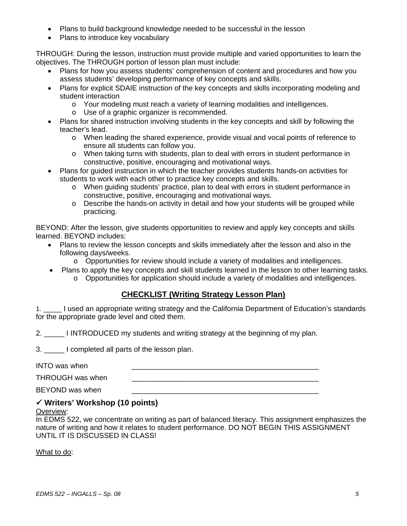- Plans to build background knowledge needed to be successful in the lesson
- Plans to introduce key vocabulary

THROUGH: During the lesson, instruction must provide multiple and varied opportunities to learn the objectives. The THROUGH portion of lesson plan must include:

- Plans for how you assess students' comprehension of content and procedures and how you assess students' developing performance of key concepts and skills.
- Plans for explicit SDAIE instruction of the key concepts and skills incorporating modeling and student interaction
	- o Your modeling must reach a variety of learning modalities and intelligences.
	- o Use of a graphic organizer is recommended.
- Plans for shared instruction involving students in the key concepts and skill by following the teacher's lead.
	- o When leading the shared experience, provide visual and vocal points of reference to ensure all students can follow you.
	- o When taking turns with students, plan to deal with errors in student performance in constructive, positive, encouraging and motivational ways.
- Plans for guided instruction in which the teacher provides students hands-on activities for students to work with each other to practice key concepts and skills.
	- o When guiding students' practice, plan to deal with errors in student performance in constructive, positive, encouraging and motivational ways.
	- o Describe the hands-on activity in detail and how your students will be grouped while practicing.

BEYOND: After the lesson, give students opportunities to review and apply key concepts and skills learned. BEYOND includes:

- Plans to review the lesson concepts and skills immediately after the lesson and also in the following days/weeks.
	- o Opportunities for review should include a variety of modalities and intelligences.
- Plans to apply the key concepts and skill students learned in the lesson to other learning tasks.
	- o Opportunities for application should include a variety of modalities and intelligences.

## **CHECKLIST (Writing Strategy Lesson Plan)**

1. \_\_\_\_\_ I used an appropriate writing strategy and the California Department of Education's standards for the appropriate grade level and cited them.

2. \_\_\_\_\_ I INTRODUCED my students and writing strategy at the beginning of my plan.

3. \_\_\_\_\_ I completed all parts of the lesson plan.

INTO was when

THROUGH was when

BEYOND was when

# 9 **Writers' Workshop (10 points)**

#### Overview:

In EDMS 522, we concentrate on writing as part of balanced literacy. This assignment emphasizes the nature of writing and how it relates to student performance. DO NOT BEGIN THIS ASSIGNMENT UNTIL IT IS DISCUSSED IN CLASS!

What to do: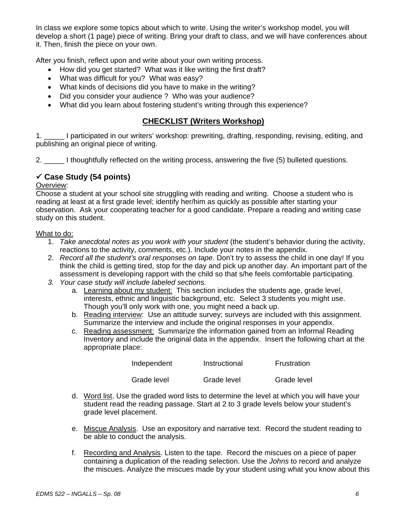In class we explore some topics about which to write. Using the writer's workshop model, you will develop a short (1 page) piece of writing. Bring your draft to class, and we will have conferences about it. Then, finish the piece on your own.

After you finish, reflect upon and write about your own writing process.

- How did you get started? What was it like writing the first draft?
- What was difficult for you? What was easy?
- What kinds of decisions did you have to make in the writing?
- Did you consider your audience ? Who was your audience?
- What did you learn about fostering student's writing through this experience?

## **CHECKLIST (Writers Workshop)**

1. \_\_\_\_\_ I participated in our writers' workshop: prewriting, drafting, responding, revising, editing, and publishing an original piece of writing.

2. \_\_\_\_\_ I thoughtfully reflected on the writing process, answering the five (5) bulleted questions.

# 9 **Case Study (54 points)**

#### Overview:

Choose a student at your school site struggling with reading and writing. Choose a student who is reading at least at a first grade level; identify her/him as quickly as possible after starting your observation. Ask your cooperating teacher for a good candidate. Prepare a reading and writing case study on this student.

#### What to do:

- 1. *Take anecdotal notes as you work with your student* (the student's behavior during the activity, reactions to the activity, comments, etc.). Include your notes in the appendix.
- 2. *Record all the student's oral responses on tape.* Don't try to assess the child in one day! If you think the child is getting tired, stop for the day and pick up another day. An important part of the assessment is developing rapport with the child so that s/he feels comfortable participating.
- *3. Your case study will include labeled sections.* 
	- a. Learning about my student: This section includes the students age, grade level, interests, ethnic and linguistic background, etc. Select 3 students you might use. Though you'll only work with one, you might need a back up.
	- b. Reading interview: Use an attitude survey; surveys are included with this assignment. Summarize the interview and include the original responses in your appendix.
	- c. Reading assessment: Summarize the information gained from an Informal Reading Inventory and include the original data in the appendix. Insert the following chart at the appropriate place:

| Independent | Instructional | Frustration |
|-------------|---------------|-------------|
| Grade level | Grade level   | Grade level |

- d. Word list. Use the graded word lists to determine the level at which you will have your student read the reading passage. Start at 2 to 3 grade levels below your student's grade level placement.
- e. Miscue Analysis. Use an expository and narrative text. Record the student reading to be able to conduct the analysis.
- f. Recording and Analysis. Listen to the tape. Record the miscues on a piece of paper containing a duplication of the reading selection. Use the *Johns* to record and analyze the miscues. Analyze the miscues made by your student using what you know about this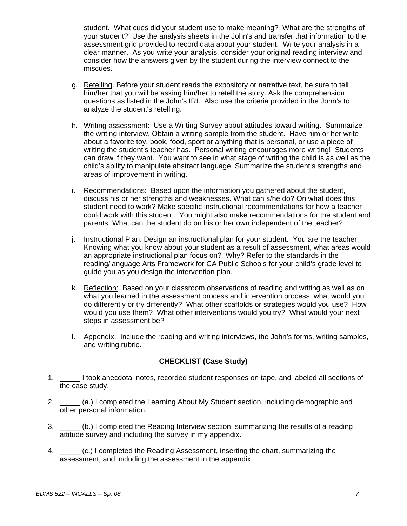student. What cues did your student use to make meaning? What are the strengths of your student? Use the analysis sheets in the John's and transfer that information to the assessment grid provided to record data about your student. Write your analysis in a clear manner. As you write your analysis, consider your original reading interview and consider how the answers given by the student during the interview connect to the miscues.

- g. Retelling. Before your student reads the expository or narrative text, be sure to tell him/her that you will be asking him/her to retell the story. Ask the comprehension questions as listed in the John's IRI. Also use the criteria provided in the John's to analyze the student's retelling.
- h. Writing assessment: Use a Writing Survey about attitudes toward writing. Summarize the writing interview. Obtain a writing sample from the student. Have him or her write about a favorite toy, book, food, sport or anything that is personal, or use a piece of writing the student's teacher has. Personal writing encourages more writing! Students can draw if they want. You want to see in what stage of writing the child is as well as the child's ability to manipulate abstract language. Summarize the student's strengths and areas of improvement in writing.
- i. Recommendations: Based upon the information you gathered about the student, discuss his or her strengths and weaknesses. What can s/he do? On what does this student need to work? Make specific instructional recommendations for how a teacher could work with this student. You might also make recommendations for the student and parents. What can the student do on his or her own independent of the teacher?
- j. Instructional Plan: Design an instructional plan for your student. You are the teacher. Knowing what you know about your student as a result of assessment, what areas would an appropriate instructional plan focus on? Why? Refer to the standards in the reading/language Arts Framework for CA Public Schools for your child's grade level to guide you as you design the intervention plan.
- k. Reflection: Based on your classroom observations of reading and writing as well as on what you learned in the assessment process and intervention process, what would you do differently or try differently? What other scaffolds or strategies would you use? How would you use them? What other interventions would you try? What would your next steps in assessment be?
- l. Appendix: Include the reading and writing interviews, the John's forms, writing samples, and writing rubric.

# **CHECKLIST (Case Study)**

- 1. \_\_\_\_\_ I took anecdotal notes, recorded student responses on tape, and labeled all sections of the case study.
- 2. \_\_\_\_\_ (a.) I completed the Learning About My Student section, including demographic and other personal information.
- 3. \_\_\_\_\_ (b.) I completed the Reading Interview section, summarizing the results of a reading attitude survey and including the survey in my appendix.
- 4. \_\_\_\_\_ (c.) I completed the Reading Assessment, inserting the chart, summarizing the assessment, and including the assessment in the appendix.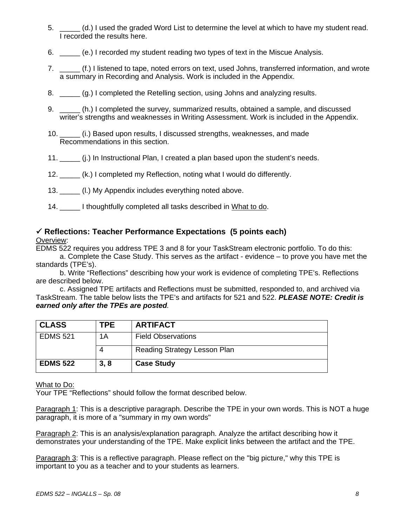- 5. \_\_\_\_\_ (d.) I used the graded Word List to determine the level at which to have my student read. I recorded the results here.
- 6. \_\_\_\_\_ (e.) I recorded my student reading two types of text in the Miscue Analysis.
- 7. \_\_\_\_\_ (f.) I listened to tape, noted errors on text, used Johns, transferred information, and wrote a summary in Recording and Analysis. Work is included in the Appendix.
- 8. \_\_\_\_\_ (g.) I completed the Retelling section, using Johns and analyzing results.
- 9. \_\_\_\_\_ (h.) I completed the survey, summarized results, obtained a sample, and discussed writer's strengths and weaknesses in Writing Assessment. Work is included in the Appendix.
- 10. \_\_\_\_\_ (i.) Based upon results, I discussed strengths, weaknesses, and made Recommendations in this section.
- 11. \_\_\_\_\_ (j.) In Instructional Plan, I created a plan based upon the student's needs.
- 12. \_\_\_\_\_ (k.) I completed my Reflection, noting what I would do differently.
- 13. **In the U.** My Appendix includes everything noted above.
- 14. \_\_\_\_\_ I thoughtfully completed all tasks described in What to do.

# 9 **Reflections: Teacher Performance Expectations (5 points each)**

## Overview:

EDMS 522 requires you address TPE 3 and 8 for your TaskStream electronic portfolio. To do this:

a. Complete the Case Study. This serves as the artifact - evidence – to prove you have met the standards (TPE's).

b. Write "Reflections" describing how your work is evidence of completing TPE's. Reflections are described below.

c. Assigned TPE artifacts and Reflections must be submitted, responded to, and archived via TaskStream. The table below lists the TPE's and artifacts for 521 and 522. *PLEASE NOTE: Credit is earned only after the TPEs are posted.* 

| <b>CLASS</b>    | TPE. | <b>ARTIFACT</b>              |
|-----------------|------|------------------------------|
| <b>EDMS 521</b> | 1A   | <b>Field Observations</b>    |
|                 | 4    | Reading Strategy Lesson Plan |
| <b>EDMS 522</b> | 3, 8 | <b>Case Study</b>            |

#### What to Do:

Your TPE "Reflections" should follow the format described below.

Paragraph 1: This is a descriptive paragraph. Describe the TPE in your own words. This is NOT a huge paragraph, it is more of a "summary in my own words"

Paragraph 2: This is an analysis/explanation paragraph. Analyze the artifact describing how it demonstrates your understanding of the TPE. Make explicit links between the artifact and the TPE.

Paragraph 3: This is a reflective paragraph. Please reflect on the "big picture," why this TPE is important to you as a teacher and to your students as learners.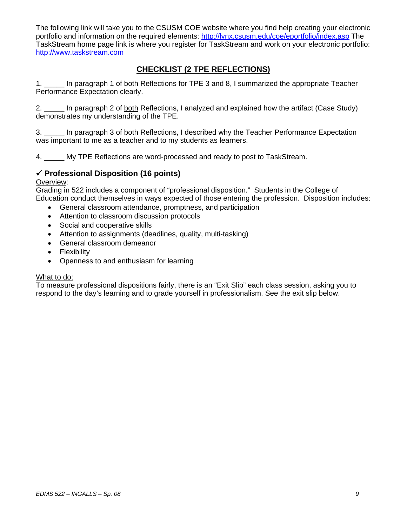The following link will take you to the CSUSM COE website where you find help creating your electronic portfolio and information on the required elements: http://lynx.csusm.edu/coe/eportfolio/index.asp The TaskStream home page link is where you register for TaskStream and work on your electronic portfolio: http://www.taskstream.com

# **CHECKLIST (2 TPE REFLECTIONS)**

1. \_\_\_\_\_ In paragraph 1 of both Reflections for TPE 3 and 8, I summarized the appropriate Teacher Performance Expectation clearly.

2. \_\_\_\_\_ In paragraph 2 of both Reflections, I analyzed and explained how the artifact (Case Study) demonstrates my understanding of the TPE.

3. \_\_\_\_\_ In paragraph 3 of both Reflections, I described why the Teacher Performance Expectation was important to me as a teacher and to my students as learners.

4. \_\_\_\_\_ My TPE Reflections are word-processed and ready to post to TaskStream.

## 9 **Professional Disposition (16 points)**

#### Overview:

Grading in 522 includes a component of "professional disposition." Students in the College of Education conduct themselves in ways expected of those entering the profession. Disposition includes:

- General classroom attendance, promptness, and participation
- Attention to classroom discussion protocols
- Social and cooperative skills
- Attention to assignments (deadlines, quality, multi-tasking)
- General classroom demeanor
- Flexibility
- Openness to and enthusiasm for learning

#### What to do:

To measure professional dispositions fairly, there is an "Exit Slip" each class session, asking you to respond to the day's learning and to grade yourself in professionalism. See the exit slip below.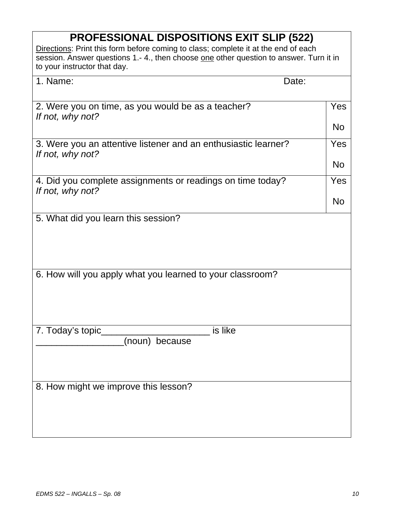| <b>PROFESSIONAL DISPOSITIONS EXIT SLIP (522)</b>                                                                                                                                                            |           |  |
|-------------------------------------------------------------------------------------------------------------------------------------------------------------------------------------------------------------|-----------|--|
| Directions: Print this form before coming to class; complete it at the end of each<br>session. Answer questions 1.-4., then choose one other question to answer. Turn it in<br>to your instructor that day. |           |  |
| 1. Name:<br>Date:                                                                                                                                                                                           |           |  |
|                                                                                                                                                                                                             |           |  |
| 2. Were you on time, as you would be as a teacher?<br>If not, why not?                                                                                                                                      | Yes       |  |
|                                                                                                                                                                                                             | <b>No</b> |  |
| 3. Were you an attentive listener and an enthusiastic learner?<br>If not, why not?                                                                                                                          | Yes       |  |
|                                                                                                                                                                                                             | <b>No</b> |  |
| 4. Did you complete assignments or readings on time today?<br>If not, why not?                                                                                                                              | Yes       |  |
|                                                                                                                                                                                                             | <b>No</b> |  |
| 5. What did you learn this session?                                                                                                                                                                         |           |  |
| 6. How will you apply what you learned to your classroom?                                                                                                                                                   |           |  |
| 7. Today's topic__<br>$\overline{\phantom{a}}$ is like<br>(noun) because                                                                                                                                    |           |  |
| 8. How might we improve this lesson?                                                                                                                                                                        |           |  |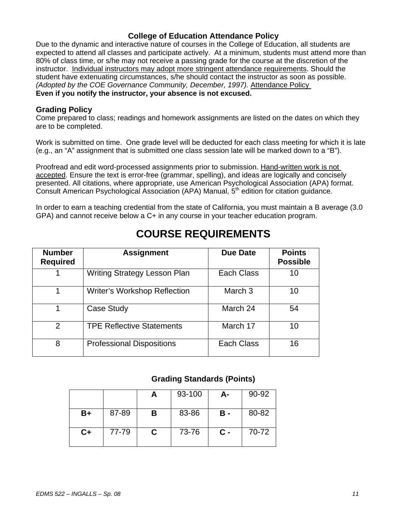## **College of Education Attendance Policy**

Due to the dynamic and interactive nature of courses in the College of Education, all students are expected to attend all classes and participate actively. At a minimum, students must attend more than 80% of class time, or s/he may not receive a passing grade for the course at the discretion of the instructor. Individual instructors may adopt more stringent attendance requirements. Should the student have extenuating circumstances, s/he should contact the instructor as soon as possible. *(Adopted by the COE Governance Community, December, 1997).* Attendance Policy **Even if you notify the instructor, your absence is not excused.** 

#### **Grading Policy**

Come prepared to class; readings and homework assignments are listed on the dates on which they are to be completed.

Work is submitted on time. One grade level will be deducted for each class meeting for which it is late (e.g., an "A" assignment that is submitted one class session late will be marked down to a "B").

Proofread and edit word-processed assignments prior to submission. Hand-written work is not accepted. Ensure the text is error-free (grammar, spelling), and ideas are logically and concisely presented. All citations, where appropriate, use American Psychological Association (APA) format. Consult American Psychological Association (APA) Manual, 5<sup>th</sup> edition for citation guidance.

In order to earn a teaching credential from the state of California, you must maintain a B average (3.0 GPA) and cannot receive below a C+ in any course in your teacher education program.

| <b>Number</b><br><b>Required</b> | <b>Assignment</b>                   | <b>Due Date</b> | <b>Points</b><br><b>Possible</b> |
|----------------------------------|-------------------------------------|-----------------|----------------------------------|
|                                  | Writing Strategy Lesson Plan        | Each Class      | 10                               |
| 1                                | <b>Writer's Workshop Reflection</b> | March 3         | 10                               |
| 1                                | Case Study                          | March 24        | 54                               |
| $\overline{2}$                   | <b>TPE Reflective Statements</b>    | March 17        | 10                               |
| 8                                | <b>Professional Dispositions</b>    | Each Class      | 16                               |

# **COURSE REQUIREMENTS**

# **Grading Standards (Points)**

|      |       |   | 93-100 | А-             | 90-92 |
|------|-------|---|--------|----------------|-------|
| B+   | 87-89 | В | 83-86  | <b>B</b> -     | 80-82 |
| $C+$ | 77-79 | C | 73-76  | $\mathbf{C}$ - | 70-72 |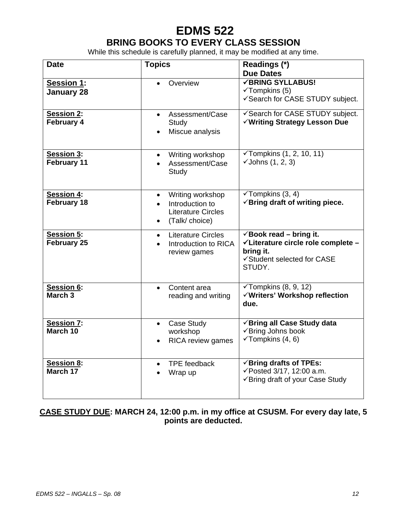# **EDMS 522 BRING BOOKS TO EVERY CLASS SESSION**

While this schedule is carefully planned, it may be modified at any time.

| <b>Date</b>                             | <b>Topics</b>                                                                                               | Readings (*)<br><b>Due Dates</b>                                                                                              |
|-----------------------------------------|-------------------------------------------------------------------------------------------------------------|-------------------------------------------------------------------------------------------------------------------------------|
| <b>Session 1:</b><br><b>January 28</b>  | Overview                                                                                                    | <b>√BRING SYLLABUS!</b><br>$\checkmark$ Tompkins (5)<br>√Search for CASE STUDY subject.                                       |
| <b>Session 2:</b><br>February 4         | Assessment/Case<br>$\bullet$<br>Study<br>Miscue analysis                                                    | √Search for CASE STUDY subject.<br>√Writing Strategy Lesson Due                                                               |
| Session 3:<br>February 11               | Writing workshop<br>Assessment/Case<br>Study                                                                | $Y$ Tompkins (1, 2, 10, 11)<br>$\checkmark$ Johns (1, 2, 3)                                                                   |
| <b>Session 4:</b><br>February 18        | Writing workshop<br>$\bullet$<br>Introduction to<br><b>Literature Circles</b><br>(Talk/choice)<br>$\bullet$ | $\checkmark$ Tompkins (3, 4)<br>$\checkmark$ Bring draft of writing piece.                                                    |
| <b>Session 5:</b><br>February 25        | <b>Literature Circles</b><br>$\bullet$<br>Introduction to RICA<br>review games                              | $\checkmark$ Book read – bring it.<br>√Literature circle role complete -<br>bring it.<br>√Student selected for CASE<br>STUDY. |
| <b>Session 6:</b><br>March <sub>3</sub> | Content area<br>$\bullet$<br>reading and writing                                                            | $\checkmark$ Tompkins (8, 9, 12)<br>√Writers' Workshop reflection<br>due.                                                     |
| <b>Session 7:</b><br>March 10           | Case Study<br>$\bullet$<br>workshop<br>RICA review games<br>$\bullet$                                       | √Bring all Case Study data<br>√Bring Johns book<br>$\checkmark$ Tompkins (4, 6)                                               |
| Session 8:<br>March 17                  | <b>TPE</b> feedback<br>$\bullet$<br>Wrap up                                                                 | $\checkmark$ Bring drafts of TPEs:<br>√Posted 3/17, 12:00 a.m.<br>✔ Bring draft of your Case Study                            |

# **CASE STUDY DUE: MARCH 24, 12:00 p.m. in my office at CSUSM. For every day late, 5 points are deducted.**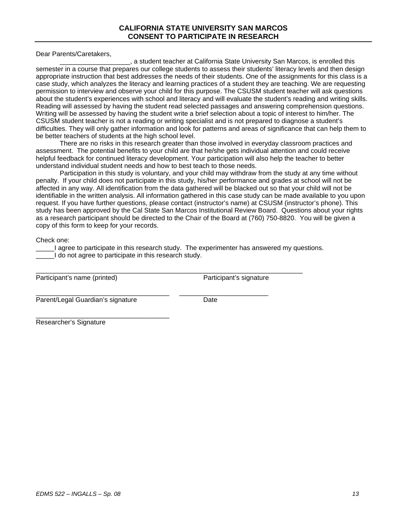Dear Parents/Caretakers,

\_\_\_\_\_\_\_\_\_\_\_\_\_\_\_\_\_\_\_, a student teacher at California State University San Marcos, is enrolled this semester in a course that prepares our college students to assess their students' literacy levels and then design appropriate instruction that best addresses the needs of their students. One of the assignments for this class is a case study, which analyzes the literacy and learning practices of a student they are teaching. We are requesting permission to interview and observe your child for this purpose. The CSUSM student teacher will ask questions about the student's experiences with school and literacy and will evaluate the student's reading and writing skills. Reading will assessed by having the student read selected passages and answering comprehension questions. Writing will be assessed by having the student write a brief selection about a topic of interest to him/her. The CSUSM student teacher is not a reading or writing specialist and is not prepared to diagnose a student's difficulties. They will only gather information and look for patterns and areas of significance that can help them to be better teachers of students at the high school level.

There are no risks in this research greater than those involved in everyday classroom practices and assessment. The potential benefits to your child are that he/she gets individual attention and could receive helpful feedback for continued literacy development. Your participation will also help the teacher to better understand individual student needs and how to best teach to those needs.

Participation in this study is voluntary, and your child may withdraw from the study at any time without penalty. If your child does not participate in this study, his/her performance and grades at school will not be affected in any way. All identification from the data gathered will be blacked out so that your child will not be identifiable in the written analysis. All information gathered in this case study can be made available to you upon request. If you have further questions, please contact (instructor's name) at CSUSM (instructor's phone). This study has been approved by the Cal State San Marcos Institutional Review Board. Questions about your rights as a research participant should be directed to the Chair of the Board at (760) 750-8820. You will be given a copy of this form to keep for your records.

Check one:

\_\_\_\_\_I agree to participate in this research study. The experimenter has answered my questions. I do not agree to participate in this research study.

\_\_\_\_\_\_\_\_\_\_\_\_\_\_\_\_\_\_\_\_\_\_\_\_\_\_\_\_\_\_\_\_\_\_\_\_ \_\_\_\_\_\_\_\_\_\_\_\_\_\_\_\_\_\_\_\_\_\_\_\_

\_\_\_\_\_\_\_\_\_\_\_\_\_\_\_\_\_\_\_\_\_\_\_\_\_\_\_\_\_\_\_\_\_\_\_\_\_\_\_\_\_\_\_\_\_\_\_\_\_\_\_\_\_\_\_\_\_\_\_\_\_\_\_\_\_\_\_\_\_\_\_\_ Participant's name (printed) Participant's signature

Parent/Legal Guardian's signature Date

\_\_\_\_\_\_\_\_\_\_\_\_\_\_\_\_\_\_\_\_\_\_\_\_\_\_\_\_\_\_\_\_\_\_\_\_ Researcher's Signature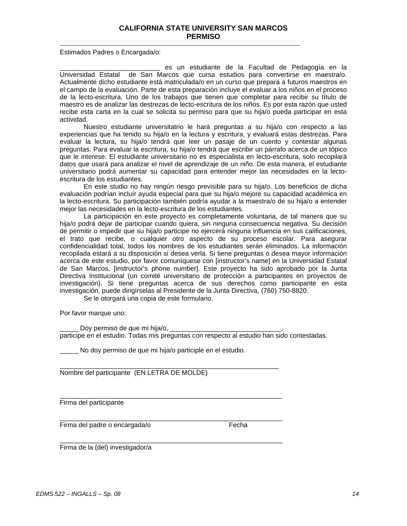#### **CALIFORNIA STATE UNIVERSITY SAN MARCOS PERMISO**

Estimados Padres o Encargada/o:

es un estudiante de la Facultad de Pedagogía en la Universidad Estatal de San Marcos que cursa estudios para convertirse en maestra/o. Actualmente dicho estudiante está matriculada/o en un curso que prepara a futuros maestros en el campo de la evaluación. Parte de esta preparación incluye el evaluar a los niños en el proceso de la lecto-escritura. Uno de los trabajos que tienen que completar para recibir su título de maestro es de analizar las destrezas de lecto-escritura de los niños. Es por esta razón que usted recibe esta carta en la cual se solicita su permiso para que su hija/o pueda participar en esta actividad.

Nuestro estudiante universitatrio le hará preguntas a su hija/o con respecto a las experiencias que ha tenido su hija/o en la lectura y escritura, y evaluará estas destrezas. Para evaluar la lectura, su hija/o tendrá que leer un pasaje de un cuento y contestar algunas preguntas. Para evaluar la escritura, su hija/o tendrá que escribir un párrafo acerca de un tópico que le interese. El estudiante universitario no es especialista en lecto-escritura, solo recopilará datos que usará para analizar el nivel de aprendizaje de un niño. De esta manera, el estudiante universitario podrá aumentar su capacidad para entender mejor las necesidades en la lectoescritura de los estudiantes.

En este studio no hay ningún riesgo previsible para su hija/o. Los beneficios de dicha evaluación podrían incluír ayuda especial para que su hija/o mejore su capacidad académica en la lecto-escritura. Su participación también podría ayudar a la maestra/o de su hija/o a entender mejor las necesidades en la lecto-escritura de los estudiantes.

La participación en este proyecto es completamente voluntaria, de tal manera que su hija/o podrá dejar de participar cuando quiera, sin ninguna consecuencia negativa. Su decisión de permitir o impedir que su hija/o participe no ejercerá ninguna influencia en sus calificaciones, el trato que recibe, o cualquier otro aspecto de su proceso escolar. Para asegurar confidencialidad total, todos los nombres de los estudiantes serán eliminados. La información recopilada estará a su disposición si desea verla. Si tiene preguntas o desea mayor información acerca de este estudio, por favor comuníquese con [instructor's name] en la Universidad Estatal de San Marcos, [instructor's phone number]. Este proyecto ha sido aprobado por la Junta Directiva Institucional (un comité universitario de protección a participantes en proyectos de investigación). Si tiene preguntas acerca de sus derechos como participante en esta investigación, puede dirigírselas al Presidente de la Junta Directiva, (760) 750-8820.

Se le otorgará una copia de este formulario.

Por favor marque uno:

Doy permiso de que mi hija/o, participe en el estudio. Todas mis preguntas con respecto al estudio han sido contestadas.

No doy permiso de que mi hija/o participle en el estudio.

 $\mathcal{L}_\text{max}$  , and the set of the set of the set of the set of the set of the set of the set of the set of the set of the set of the set of the set of the set of the set of the set of the set of the set of the set of the

\_\_\_\_\_\_\_\_\_\_\_\_\_\_\_\_\_\_\_\_\_\_\_\_\_\_\_\_\_\_\_\_\_\_\_\_\_\_\_\_\_\_\_\_\_\_\_\_\_\_\_\_\_\_\_\_\_\_\_\_

\_\_\_\_\_\_\_\_\_\_\_\_\_\_\_\_\_\_\_\_\_\_\_\_\_\_\_\_\_\_\_\_\_\_\_\_\_\_\_\_\_\_\_\_\_\_\_\_\_\_\_\_\_\_\_\_\_\_\_\_

\_\_\_\_\_\_\_\_\_\_\_\_\_\_\_\_\_\_\_\_\_\_\_\_\_\_\_\_\_\_\_\_\_\_\_\_\_\_\_\_\_\_\_\_\_\_\_\_\_\_\_\_\_\_\_\_\_\_\_\_

Nombre del participante (EN LETRA DE MOLDE)

Firma del participante

Firma del padre o encargada/o Fecha

Firma de la (del) investigador/a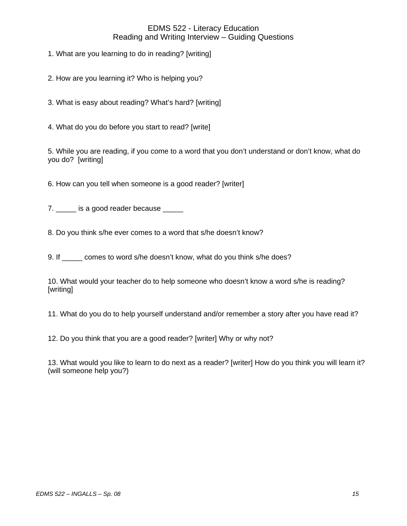## EDMS 522 - Literacy Education Reading and Writing Interview – Guiding Questions

1. What are you learning to do in reading? [writing]

2. How are you learning it? Who is helping you?

3. What is easy about reading? What's hard? [writing]

4. What do you do before you start to read? [write]

5. While you are reading, if you come to a word that you don't understand or don't know, what do you do? [writing]

6. How can you tell when someone is a good reader? [writer]

7. \_\_\_\_\_ is a good reader because \_\_\_\_\_

8. Do you think s/he ever comes to a word that s/he doesn't know?

9. If comes to word s/he doesn't know, what do you think s/he does?

10. What would your teacher do to help someone who doesn't know a word s/he is reading? [writing]

11. What do you do to help yourself understand and/or remember a story after you have read it?

12. Do you think that you are a good reader? [writer] Why or why not?

13. What would you like to learn to do next as a reader? [writer] How do you think you will learn it? (will someone help you?)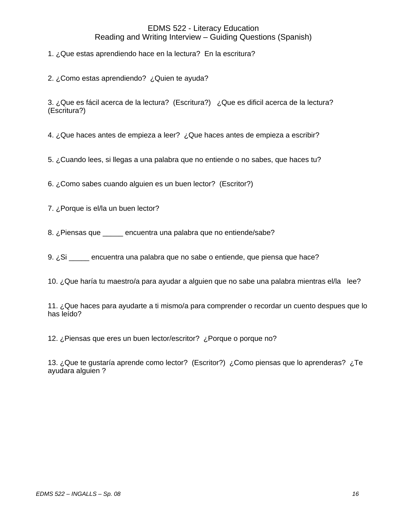## EDMS 522 - Literacy Education Reading and Writing Interview – Guiding Questions (Spanish)

1. ¿Que estas aprendiendo hace en la lectura? En la escritura?

2. ¿Como estas aprendiendo? ¿Quien te ayuda?

3. ¿Que es fácil acerca de la lectura? (Escritura?) ¿Que es dificil acerca de la lectura? (Escritura?)

4. ¿Que haces antes de empieza a leer? ¿Que haces antes de empieza a escribir?

5. ¿Cuando lees, si llegas a una palabra que no entiende o no sabes, que haces tu?

6. ¿Como sabes cuando alguien es un buen lector? (Escritor?)

7. ¿Porque is el/la un buen lector?

8. ¿Piensas que \_\_\_\_\_ encuentra una palabra que no entiende/sabe?

9. *i*.Si encuentra una palabra que no sabe o entiende, que piensa que hace?

10. ¿Que haría tu maestro/a para ayudar a alguien que no sabe una palabra mientras el/la lee?

11. ¿Que haces para ayudarte a ti mismo/a para comprender o recordar un cuento despues que lo has leído?

12. ¿Piensas que eres un buen lector/escritor? ¿Porque o porque no?

13. ¿Que te gustaría aprende como lector? (Escritor?) ¿Como piensas que lo aprenderas? ¿Te ayudara alguien ?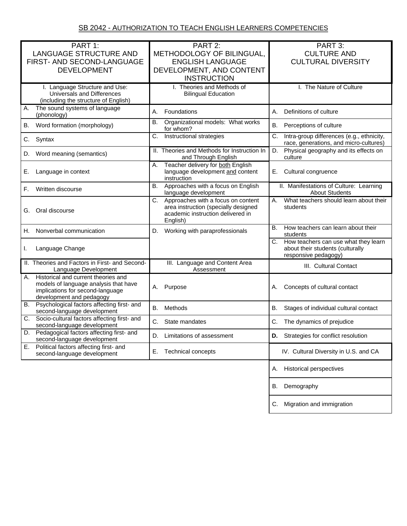| PART 1:                                                                         | PART 2:                                                            | PART 3:                                                                                   |
|---------------------------------------------------------------------------------|--------------------------------------------------------------------|-------------------------------------------------------------------------------------------|
| LANGUAGE STRUCTURE AND                                                          | METHODOLOGY OF BILINGUAL,                                          | <b>CULTURE AND</b>                                                                        |
| FIRST- AND SECOND-LANGUAGE                                                      | <b>ENGLISH LANGUAGE</b>                                            | <b>CULTURAL DIVERSITY</b>                                                                 |
| <b>DEVELOPMENT</b>                                                              | DEVELOPMENT, AND CONTENT                                           |                                                                                           |
|                                                                                 | <b>INSTRUCTION</b>                                                 |                                                                                           |
| I. Language Structure and Use:<br>Universals and Differences                    | I. Theories and Methods of                                         | I. The Nature of Culture                                                                  |
| (including the structure of English)                                            | <b>Bilingual Education</b>                                         |                                                                                           |
| The sound systems of language<br>А.                                             |                                                                    |                                                                                           |
| (phonology)                                                                     | Foundations<br>А.                                                  | Definitions of culture<br>А.                                                              |
| Word formation (morphology)<br>В.                                               | <b>B.</b><br>Organizational models: What works<br>for whom?        | В.<br>Perceptions of culture                                                              |
| Syntax<br>C.                                                                    | C.<br>Instructional strategies                                     | Intra-group differences (e.g., ethnicity,<br>C.<br>race, generations, and micro-cultures) |
| Word meaning (semantics)<br>D.                                                  | II. Theories and Methods for Instruction In<br>and Through English | Physical geography and its effects on<br>D.<br>culture                                    |
|                                                                                 | Teacher delivery for both English<br>А.                            |                                                                                           |
| Language in context<br>Е.                                                       | language development and content<br>instruction                    | Cultural congruence<br>Е.                                                                 |
| Written discourse<br>F.                                                         | <b>B.</b><br>Approaches with a focus on English                    | II. Manifestations of Culture: Learning                                                   |
|                                                                                 | language development<br>Approaches with a focus on content<br>С.   | <b>About Students</b><br>What teachers should learn about their<br>А.                     |
|                                                                                 | area instruction (specially designed                               | students                                                                                  |
| Oral discourse<br>G.                                                            | academic instruction delivered in                                  |                                                                                           |
|                                                                                 | English)                                                           |                                                                                           |
| Nonverbal communication<br>Н.                                                   | Working with paraprofessionals<br>D.                               | How teachers can learn about their<br><b>B.</b><br>students                               |
|                                                                                 |                                                                    | How teachers can use what they learn<br>C.                                                |
| Language Change<br>L.                                                           |                                                                    | about their students (culturally<br>responsive pedagogy)                                  |
| II. Theories and Factors in First- and Second-                                  | III. Language and Content Area                                     |                                                                                           |
| Language Development                                                            | Assessment                                                         | III. Cultural Contact                                                                     |
| Historical and current theories and<br>А.                                       |                                                                    |                                                                                           |
| models of language analysis that have<br>implications for second-language       | Purpose<br>А.                                                      | Concepts of cultural contact<br>А.                                                        |
| development and pedagogy                                                        |                                                                    |                                                                                           |
| Psychological factors affecting first- and<br>В.<br>second-language development | В.<br>Methods                                                      | В.<br>Stages of individual cultural contact                                               |
| Socio-cultural factors affecting first- and<br>С.                               | C.<br>State mandates                                               | The dynamics of prejudice<br>C.                                                           |
| second-language development                                                     |                                                                    |                                                                                           |
| Pedagogical factors affecting first- and<br>D.<br>second-language development   | D.<br>Limitations of assessment                                    | D. Strategies for conflict resolution                                                     |
| Political factors affecting first- and<br>Е.<br>second-language development     | <b>Technical concepts</b><br>Е.                                    | IV. Cultural Diversity in U.S. and CA                                                     |
|                                                                                 |                                                                    |                                                                                           |
|                                                                                 |                                                                    | <b>Historical perspectives</b><br>А.                                                      |
|                                                                                 |                                                                    | Demography<br>В.                                                                          |
|                                                                                 |                                                                    | Migration and immigration<br>С.                                                           |
|                                                                                 |                                                                    |                                                                                           |